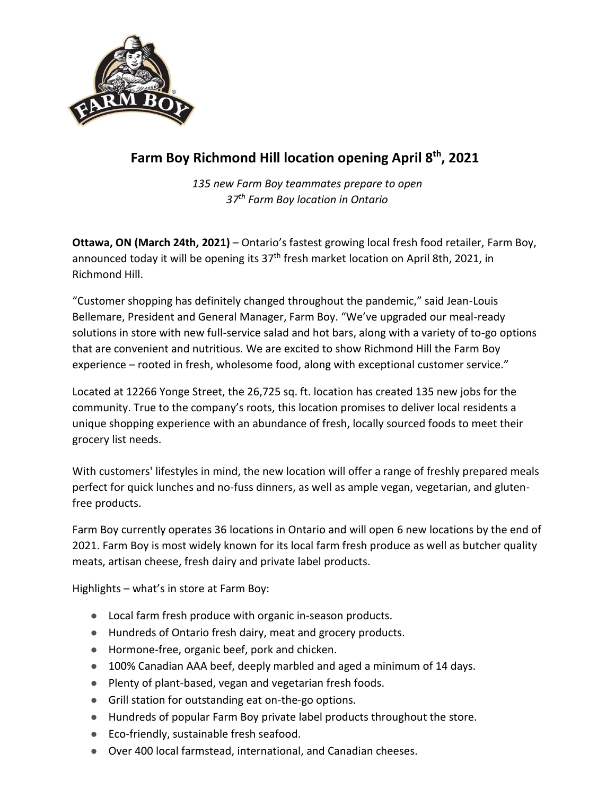

## **Farm Boy Richmond Hill location opening April 8th , 2021**

*135 new Farm Boy teammates prepare to open 37 th Farm Boy location in Ontario*

**Ottawa, ON (March 24th, 2021)** – Ontario's fastest growing local fresh food retailer, Farm Boy, announced today it will be opening its 37<sup>th</sup> fresh market location on April 8th, 2021, in Richmond Hill.

"Customer shopping has definitely changed throughout the pandemic," said Jean-Louis Bellemare, President and General Manager, Farm Boy. "We've upgraded our meal-ready solutions in store with new full-service salad and hot bars, along with a variety of to-go options that are convenient and nutritious. We are excited to show Richmond Hill the Farm Boy experience – rooted in fresh, wholesome food, along with exceptional customer service."

Located at 12266 Yonge Street, the 26,725 sq. ft. location has created 135 new jobs for the community. True to the company's roots, this location promises to deliver local residents a unique shopping experience with an abundance of fresh, locally sourced foods to meet their grocery list needs.

With customers' lifestyles in mind, the new location will offer a range of freshly prepared meals perfect for quick lunches and no-fuss dinners, as well as ample vegan, vegetarian, and glutenfree products.

Farm Boy currently operates 36 locations in Ontario and will open 6 new locations by the end of 2021. Farm Boy is most widely known for its local farm fresh produce as well as butcher quality meats, artisan cheese, fresh dairy and private label products.

Highlights – what's in store at Farm Boy:

- Local farm fresh produce with organic in-season products.
- Hundreds of Ontario fresh dairy, meat and grocery products.
- Hormone-free, organic beef, pork and chicken.
- 100% Canadian AAA beef, deeply marbled and aged a minimum of 14 days.
- Plenty of plant-based, vegan and vegetarian fresh foods.
- Grill station for outstanding eat on-the-go options.
- Hundreds of popular Farm Boy private label products throughout the store.
- Eco-friendly, sustainable fresh seafood.
- Over 400 local farmstead, international, and Canadian cheeses.